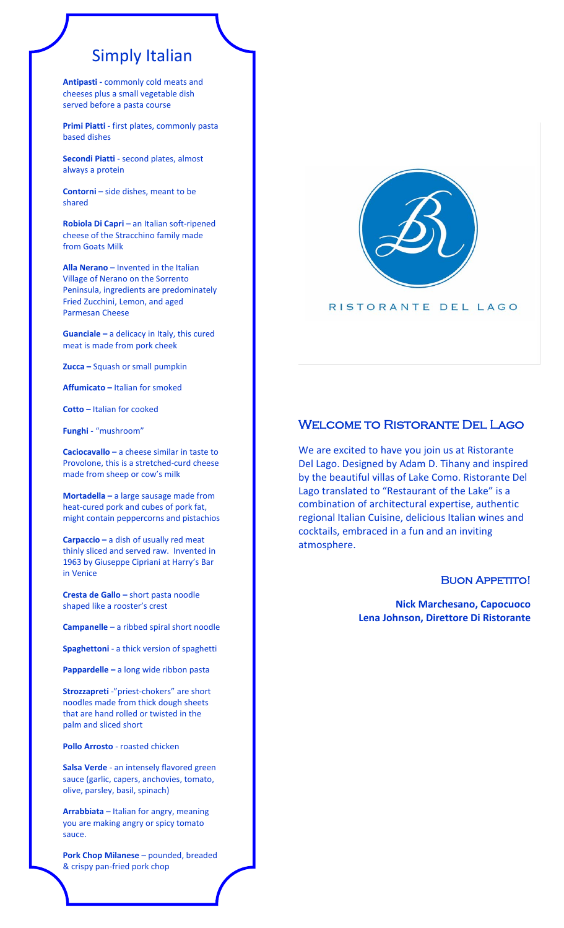# Simply Italian

**Antipasti -** commonly cold meats and cheeses plus a small vegetable dish served before a pasta course

**Primi Piatti** - first plates, commonly pasta based dishes

**Secondi Piatti** - second plates, almost always a protein

**Contorni** – side dishes, meant to be shared

**Robiola Di Capri** – an Italian soft-ripened cheese of the Stracchino family made from Goats Milk

**Alla Nerano** – Invented in the Italian Village of Nerano on the Sorrento Peninsula, ingredients are predominately Fried Zucchini, Lemon, and aged Parmesan Cheese

**Guanciale –** a delicacy in Italy, this cured meat is made from pork cheek

**Zucca –** Squash or small pumpkin

**Affumicato –** Italian for smoked

**Cotto –** Italian for cooked

**Funghi** - "mushroom"

**Caciocavallo –** a cheese similar in taste to Provolone, this is a stretched-curd cheese made from sheep or cow's milk

**Mortadella –** a large sausage made from heat-cured pork and cubes of pork fat, might contain peppercorns and pistachios

**Carpaccio –** a dish of usually red meat thinly sliced and served raw. Invented in 1963 by Giuseppe Cipriani at Harry's Bar in Venice

**Cresta de Gallo –** short pasta noodle shaped like a rooster's crest

**Campanelle –** a ribbed spiral short noodle

**Spaghettoni** - a thick version of spaghetti

**Pappardelle –** a long wide ribbon pasta

**Strozzapreti** -"priest-chokers" are short noodles made from thick dough sheets that are hand rolled or twisted in the palm and sliced short

**Pollo Arrosto** - roasted chicken

**Salsa Verde** - an intensely flavored green sauce (garlic, capers, anchovies, tomato, olive, parsley, basil, spinach)

**Arrabbiata** – Italian for angry, meaning you are making angry or spicy tomato sauce.

**Pork Chop Milanese** – pounded, breaded & crispy pan-fried pork chop



#### RISTORANTE DEL LAGO

#### Welcome to Ristorante Del Lago

We are excited to have you join us at Ristorante Del Lago. Designed by Adam D. Tihany and inspired by the beautiful villas of Lake Como. Ristorante Del Lago translated to "Restaurant of the Lake" is a combination of architectural expertise, authentic regional Italian Cuisine, delicious Italian wines and cocktails, embraced in a fun and an inviting atmosphere.

#### **BUON APPETITO!**

**Nick Marchesano, Capocuoco Lena Johnson, Direttore Di Ristorante**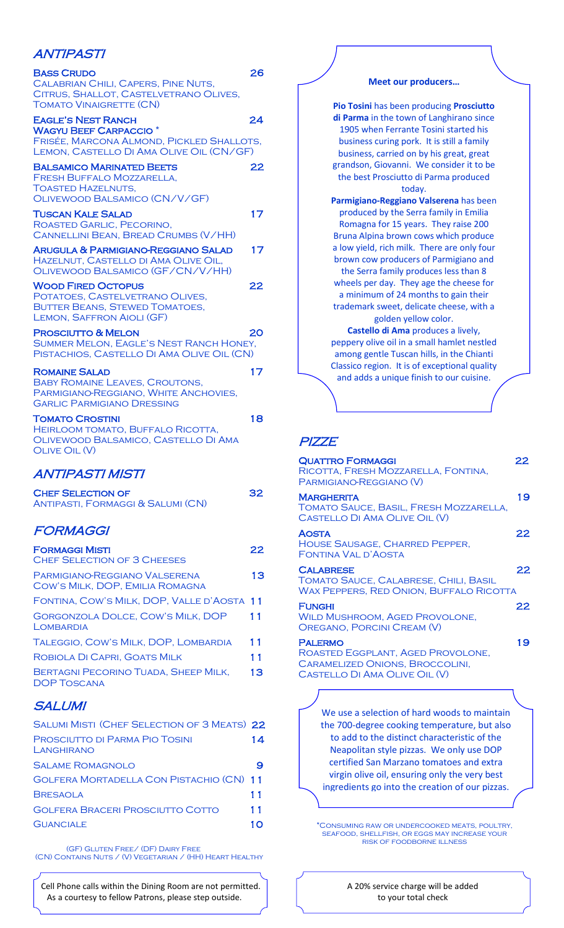## ANTIPASTI

| <b>BASS CRUDO</b><br>CALABRIAN CHILI, CAPERS, PINE NUTS,<br>CITRUS, SHALLOT, CASTELVETRANO OLIVES,<br><b>TOMATO VINAIGRETTE (CN)</b>                          | 26 |
|---------------------------------------------------------------------------------------------------------------------------------------------------------------|----|
| <b>EAGLE'S NEST RANCH</b><br><b>WAGYU BEEF CARPACCIO<sup>*</sup></b><br>FRISÉE, MARCONA ALMOND, PICKLED SHALLOTS,<br>LEMON, CASTELLO DI AMA OLIVE OIL (CN/GF) | 24 |
| <b>BALSAMICO MARINATED BEETS</b><br><b>FRESH BUFFALO MOZZARELLA.</b><br><b>TOASTED HAZELNUTS.</b><br>OLIVEWOOD BALSAMICO (CN/V/GF)                            | 22 |
| TUSCAN KALE SALAD<br>ROASTED GARLIC, PECORINO,<br>CANNELLINI BEAN, BREAD CRUMBS (V/HH)                                                                        | 17 |
| <b>ARUGULA &amp; PARMIGIANO-REGGIANO SALAD</b><br>HAZELNUT, CASTELLO DI AMA OLIVE OIL,<br>OLIVEWOOD BALSAMICO (GF/CN/V/HH)                                    | 17 |
| <b>WOOD FIRED OCTOPUS</b><br>POTATOES, CASTELVETRANO OLIVES,<br><b>BUTTER BEANS, STEWED TOMATOES,</b><br><b>LEMON, SAFFRON AIOLI (GF)</b>                     | 22 |
| <b>PROSCIUTTO &amp; MELON</b><br>SUMMER MELON, EAGLE'S NEST RANCH HONEY,<br>PISTACHIOS, CASTELLO DI AMA OLIVE OIL (CN)                                        | 20 |
| <b>ROMAINE SALAD</b><br><b>BABY ROMAINE LEAVES, CROUTONS,</b><br>PARMIGIANO-REGGIANO, WHITE ANCHOVIES,<br><b>GARLIC PARMIGIANO DRESSING</b>                   | 17 |
| <b>TOMATO CROSTINI</b><br>HEIRLOOM TOMATO, BUFFALO RICOTTA,<br>OLIVEWOOD BALSAMICO, CASTELLO DI AMA<br><b>OLIVE OIL (V)</b>                                   | 18 |

## ANTIPASTI MISTI

| <b>CHEF SELECTION OF</b>          | 32 |
|-----------------------------------|----|
| ANTIPASTI, FORMAGGI & SALUMI (CN) |    |

## FORMAGGI

| <b>FORMAGGI MISTI</b><br><b>CHEF SELECTION OF 3 CHEESES</b>      | 22 |
|------------------------------------------------------------------|----|
| PARMIGIANO-REGGIANO VALSERENA<br>COW'S MILK, DOP, EMILIA ROMAGNA | 13 |
| FONTINA, COW'S MILK, DOP, VALLE D'AOSTA 11                       |    |
| GORGONZOLA DOLCE, COW'S MILK, DOP<br>LOMBARDIA                   | 11 |
| TALEGGIO, COW'S MILK, DOP, LOMBARDIA                             | 11 |
| ROBIOLA DI CAPRI. GOATS MILK                                     | 11 |
| <b>BERTAGNI PECORINO TUADA, SHEEP MILK.</b><br>DOP TOSCANA       | 13 |
|                                                                  |    |

#### **SALUMI**

.<br>r

| <b>SALUMI MISTI (CHEF SELECTION OF 3 MEATS) 22</b> |    |
|----------------------------------------------------|----|
| PROSCIUTTO DI PARMA PIO TOSINI<br>LANGHIRANO       | 14 |
| <b>SALAME ROMAGNOLO</b>                            |    |
| GOLFERA MORTADELLA CON PISTACHIO (CN) 11           |    |
| <b>BRESAOLA</b>                                    | 11 |
| <b>GOLFERA BRACERI PROSCIUTTO COTTO</b>            | 11 |
| <b>GUANCIALE</b>                                   | 10 |
|                                                    |    |

(GF) Gluten Free/ (DF) Dairy Free (CN) Contains Nuts / (V) Vegetarian / (HH) Heart Healthy

 Cell Phone calls within the Dining Room are not permitted. As a courtesy to fellow Patrons, please step outside.



#### PIZZE

| <b>QUATTRO FORMAGGI</b><br>RICOTTA, FRESH MOZZARELLA, FONTINA,<br>PARMIGIANO-REGGIANO (V)                                                                                                                                            | 22 |
|--------------------------------------------------------------------------------------------------------------------------------------------------------------------------------------------------------------------------------------|----|
| MARGHERITA<br>TOMATO SAUCE, BASIL, FRESH MOZZARELLA,<br>CASTELLO DI AMA OLIVE OIL (V)                                                                                                                                                | 19 |
| AOSTA<br>HOUSE SAUSAGE, CHARRED PEPPER,<br>FONTINA VAL D'AOSTA                                                                                                                                                                       | 22 |
| <b>CALABRESE</b><br>TOMATO SAUCE, CALABRESE, CHILI, BASIL<br><b>WAX PEPPERS, RED ONION, BUFFALO RICOTTA</b>                                                                                                                          | 22 |
| <b>FUNGHI</b><br><b>WILD MUSHROOM, AGED PROVOLONE,</b><br>OREGANO, PORCINI CREAM (V)                                                                                                                                                 | 22 |
| <b>PALERMO</b><br>ROASTED EGGPLANT, AGED PROVOLONE,<br><b>CARAMELIZED ONIONS, BROCCOLINI,</b><br>CASTELLO DI AMA OLIVE OIL (V)                                                                                                       | 19 |
|                                                                                                                                                                                                                                      |    |
| We use a selection of hard woods to maintain<br>the 700-degree cooking temperature, but also<br>to add to the distinct characteristic of the<br>Neapolitan style pizzas. We only use DOP<br>certified San Marzano tomatoes and extra |    |

virgin olive oil, ensuring only the very best ingredients go into the creation of our pizzas.

\*Consuming raw or undercooked meats, poultry, seafood, shellfish, or eggs may increase your RISK OF FOODBORNE ILLNESS

L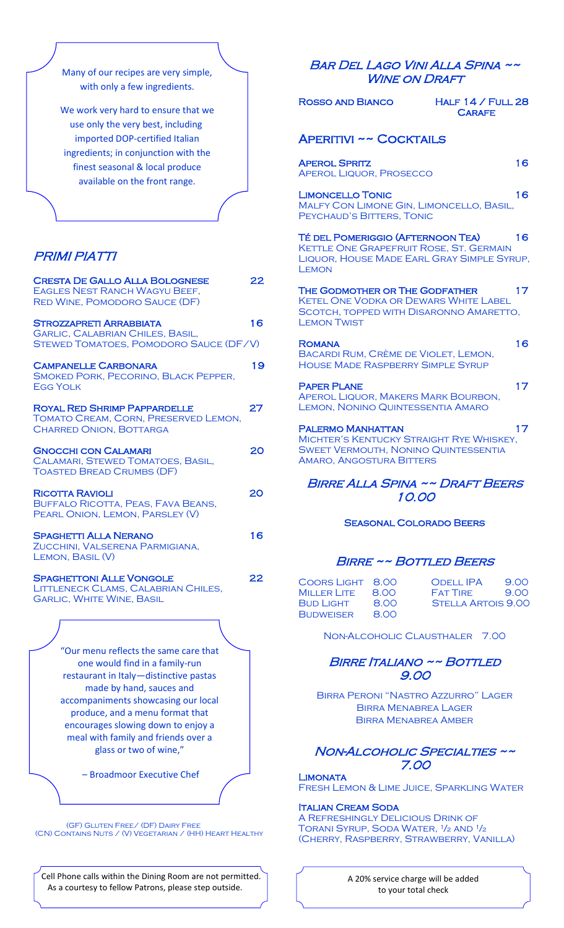Many of our recipes are very simple, with only a few ingredients.

We work very hard to ensure that we use only the very best, including imported DOP-certified Italian ingredients; in conjunction with the finest seasonal & local produce available on the front range.

## PRIMI PIATTI

 $\overline{\phantom{a}}$ 

 $\overline{a}$ 

| <b>CRESTA DE GALLO ALLA BOLOGNESE</b><br><b>EAGLES NEST RANCH WAGYU BEEF,</b><br><b>RED WINE, POMODORO SAUCE (DF)</b>      | 22 |
|----------------------------------------------------------------------------------------------------------------------------|----|
| <b>STROZZAPRETI ARRABBIATA</b><br><b>GARLIC, CALABRIAN CHILES, BASIL,</b><br><b>STEWED TOMATOES, POMODORO SAUCE (DF/V)</b> | 16 |
| <b>CAMPANELLE CARBONARA</b><br>SMOKED PORK, PECORINO, BLACK PEPPER,<br><b>EGG YOLK</b>                                     | 19 |
| <b>ROYAL RED SHRIMP PAPPARDELLE</b><br>TOMATO CREAM, CORN, PRESERVED LEMON,<br><b>CHARRED ONION, BOTTARGA</b>              | 27 |
| <b>GNOCCHI CON CALAMARI</b><br>CALAMARI, STEWED TOMATOES, BASIL,<br><b>TOASTED BREAD CRUMBS (DF)</b>                       | 20 |
| <b>RICOTTA RAVIOLI</b><br>BUFFALO RICOTTA, PEAS, FAVA BEANS,<br>PEARL ONION, LEMON, PARSLEY (V)                            | 20 |
| <b>SPAGHETTI ALLA NERANO</b><br>ZUCCHINI, VALSERENA PARMIGIANA,<br>LEMON, BASIL (V)                                        | 16 |
| <b>SPAGHETTONI ALLE VONGOLE</b><br>LITTLENECK CLAMS, CALABRIAN CHILES,<br><b>GARLIC, WHITE WINE, BASIL</b>                 | 22 |
|                                                                                                                            |    |

"Our menu reflects the same care that one would find in a family-run restaurant in Italy—distinctive pastas made by hand, sauces and accompaniments showcasing our local produce, and a menu format that encourages slowing down to enjoy a meal with family and friends over a glass or two of wine,"

– Broadmoor Executive Chef

 $\overline{a}$ 

 (GF) Gluten Free/ (DF) Dairy Free (CN) Contains Nuts / (V) Vegetarian / (HH) Heart Healthy

 $\Gamma$  Cell Phone calls within the Dining Room are not permitted. As a courtesy to fellow Patrons, please step outside.

#### Bar Del Lago Vini Alla Spina ~~ WINE ON DRAFT

| <i>WINE ON DRAFT</i>                                                                                                                                   |    |  |
|--------------------------------------------------------------------------------------------------------------------------------------------------------|----|--|
| HALF $14$ / FULL 28<br>ROSSO AND BIANCO<br><b>CARAFE</b>                                                                                               |    |  |
| <b>APERITIVI ~~ COCKTAILS</b>                                                                                                                          |    |  |
| <b>APEROL SPRITZ</b><br><b>APEROL LIQUOR, PROSECCO</b>                                                                                                 | 16 |  |
| <b>LIMONCELLO TONIC</b><br>MALFY CON LIMONE GIN, LIMONCELLO, BASIL,<br>PEYCHAUD'S BITTERS, TONIC                                                       | 16 |  |
| <b>TÉ DEL POMERIGGIO (AFTERNOON TEA)</b><br>KETTLE ONE GRAPEFRUIT ROSE, ST. GERMAIN<br>LIQUOR, HOUSE MADE EARL GRAY SIMPLE SYRUP,<br><b>LEMON</b>      | 16 |  |
| THE GODMOTHER OR THE GODFATHER<br><b>KETEL ONE VODKA OR DEWARS WHITE LABEL</b><br>SCOTCH, TOPPED WITH DISARONNO AMARETTO,<br><b>LEMON TWIST</b>        | 17 |  |
| <b>ROMANA</b><br>BACARDI RUM, CRÈME DE VIOLET, LEMON,<br><b>HOUSE MADE RASPBERRY SIMPLE SYRUP</b>                                                      | 16 |  |
| <b>PAPER PLANE</b><br>APEROL LIQUOR, MAKERS MARK BOURBON,<br><b>LEMON, NONINO QUINTESSENTIA AMARO</b>                                                  | 17 |  |
| <b>PALERMO MANHATTAN</b><br>MICHTER'S KENTUCKY STRAIGHT RYE WHISKEY,<br><b>SWEET VERMOUTH, NONINO QUINTESSENTIA</b><br><b>AMARO, ANGOSTURA BITTERS</b> | 17 |  |
| BIRRE ALLA SPINA ~~ DRAFT BEERS<br>10.00                                                                                                               |    |  |
| <b>SEASONAL COLORADO BEERS</b>                                                                                                                         |    |  |

#### BIRRE ~~ BOTTLED BEERS

| COORS LIGHT 8.00<br>MILLER LITE      | 8.00         | <b>ODELL IPA</b><br>9.00<br><b>FAT TIRE</b><br>900 |
|--------------------------------------|--------------|----------------------------------------------------|
| <b>BUD LIGHT</b><br><b>BUDWEISER</b> | 8.00<br>8.00 | <b>STELLA ARTOIS 9.00</b>                          |

Non-Alcoholic Clausthaler 7.00

#### Birre Italiano ~~ Bottled 9.00

Birra Peroni "Nastro Azzurro" Lager Birra Menabrea Lager Birra Menabrea Amber

#### NON-ALCOHOLIC SPECIALTIES ~~ 7.00

#### **LIMONATA** Fresh Lemon & Lime Juice, Sparkling Water

#### Italian Cream Soda

A Refreshingly Delicious Drink of TORANI SYRUP, SODA WATER, <sup>1</sup>/2 AND <sup>1</sup>/2 (Cherry, Raspberry, Strawberry, Vanilla)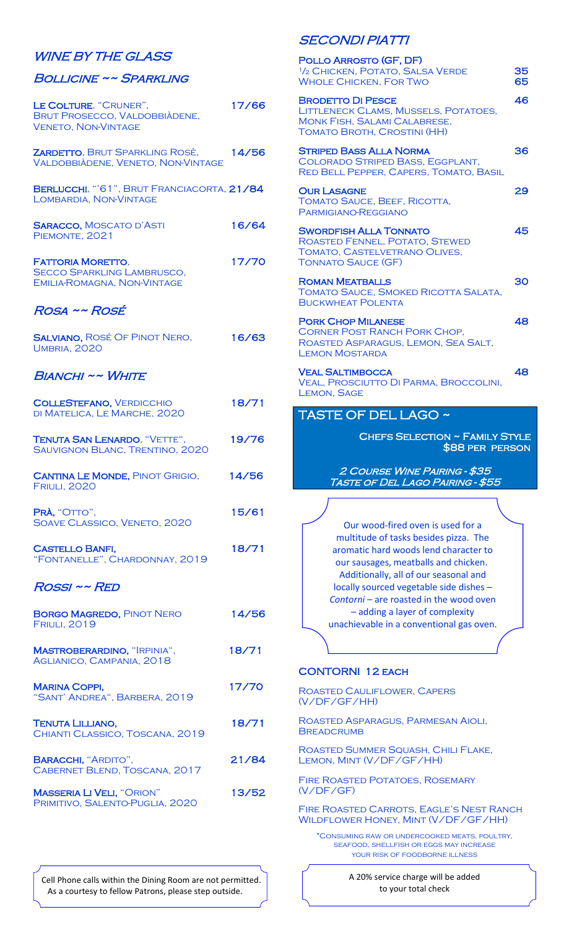#### WINE BY THE GLASS

#### Bollicine ~~ Sparkling

| LE COLTURE, "CRUNER",<br><b>BRUT PROSECCO, VALDOBBIÀDENE,</b><br><b>VENETO, NON-VINTAGE</b>  | 17/66 |
|----------------------------------------------------------------------------------------------|-------|
| ZARDETTO, BRUT SPARKLING ROSÈ,<br>VALDOBBIÀDENE, VENETO, NON-VINTAGE                         | 14/56 |
| BERLUCCHI, "'61", BRUT FRANCIACORTA, 21/84<br>LOMBARDIA, NON-VINTAGE                         |       |
| <b>SARACCO, MOSCATO D'ASTI</b><br>PIEMONTE, 2021                                             | 16/64 |
| <b>FATTORIA MORETTO,</b><br><b>SECCO SPARKLING LAMBRUSCO,</b><br>EMILIA-ROMAGNA, NON-VINTAGE | 17/70 |
| ROSA ~~ ROSÉ                                                                                 |       |
| <b>SALVIANO, ROSÉ OF PINOT NERO,</b><br><b>UMBRIA, 2020</b>                                  | 16/63 |
| <b>BIANCHI ~~ WHITE</b>                                                                      |       |
| <b>COLLESTEFANO, VERDICCHIO</b><br>DI MATELICA, LE MARCHE, 2020                              | 18/71 |
| TENUTA SAN LENARDO, "VETTE",<br>SAUVIGNON BLANC, TRENTINO, 2020                              | 19/76 |
| <b>CANTINA LE MONDE, PINOT GRIGIO,</b><br><b>FRIULI, 2020</b>                                | 14/56 |
| PRÀ, "OTTO",<br>SOAVE CLASSICO, VENETO, 2020                                                 | 15/61 |
| <b>CASTELLO BANFI,</b><br>"FONTANELLE", CHARDONNAY, 2019                                     | 18/71 |
| ROSSI ~~ RED                                                                                 |       |
| <b>BORGO MAGREDO, PINOT NERO</b><br><b>FRIULI, 2019</b>                                      | 14/56 |
| <b>MASTROBERARDINO, "IRPINIA",</b><br>AGLIANICO, CAMPANIA, 2018                              | 18/71 |
| <b>MARINA COPPI,</b><br>"SANT' ANDREA", BARBERA, 2019                                        | 17/70 |
| TENUTA LILLIANO,<br>CHIANTI CLASSICO, TOSCANA, 2019                                          | 18/71 |
| <b>BARACCHI, "ARDITO",</b><br>CABERNET BLEND, TOSCANA, 2017                                  | 21/84 |
| <b>MASSERIA LI VELI, "ORION"</b><br>PRIMITIVO, SALENTO-PUGLIA, 2020                          | 13/52 |

## SECONDI PIATTI

| POLLO ARROSTO (GF, DF)<br>1/2 CHICKEN, POTATO, SALSA VERDE<br><b>WHOLE CHICKEN, FOR TWO</b>                                                                                                                                                                                                                                                                              | 35<br>65 |
|--------------------------------------------------------------------------------------------------------------------------------------------------------------------------------------------------------------------------------------------------------------------------------------------------------------------------------------------------------------------------|----------|
| <b>BRODETTO DI PESCE</b><br>LITTLENECK CLAMS, MUSSELS, POTATOES,<br><b>MONK FISH, SALAMI CALABRESE,</b><br>TOMATO BROTH, CROSTINI (HH)                                                                                                                                                                                                                                   | 46       |
| <b>STRIPED BASS ALLA NORMA</b><br>COLORADO STRIPED BASS, EGGPLANT,<br>RED BELL PEPPER, CAPERS, TOMATO, BASIL                                                                                                                                                                                                                                                             | 36       |
| <b>OUR LASAGNE</b><br>TOMATO SAUCE, BEEF, RICOTTA,<br>PARMIGIANO-REGGIANO                                                                                                                                                                                                                                                                                                | 29       |
| <b>SWORDFISH ALLA TONNATO</b><br>ROASTED FENNEL, POTATO, STEWED<br>TOMATO, CASTELVETRANO OLIVES,<br><b>TONNATO SAUCE (GF)</b>                                                                                                                                                                                                                                            | 45       |
| <b>ROMAN MEATBALLS</b><br>TOMATO SAUCE, SMOKED RICOTTA SALATA,<br><b>BUCKWHEAT POLENTA</b>                                                                                                                                                                                                                                                                               | 30       |
| <b>PORK CHOP MILANESE</b><br><b>CORNER POST RANCH PORK CHOP,</b><br>ROASTED ASPARAGUS, LEMON, SEA SALT,<br><b>LEMON MOSTARDA</b>                                                                                                                                                                                                                                         | 48       |
| <b>VEAL SALTIMBOCCA</b><br>VEAL, PROSCIUTTO DI PARMA, BROCCOLINI,<br><b>LEMON, SAGE</b>                                                                                                                                                                                                                                                                                  | 48       |
|                                                                                                                                                                                                                                                                                                                                                                          |          |
| <b>CHEFS SELECTION ~ FAMILY STYLE</b><br>\$88 PER PERSON<br>2 COURSE WINE PAIRING - \$35<br>TASTE OF DEL LAGO PAIRING - \$55                                                                                                                                                                                                                                             |          |
|                                                                                                                                                                                                                                                                                                                                                                          |          |
| Our wood-fired oven is used for a<br>multitude of tasks besides pizza. The<br>aromatic hard woods lend character to<br>our sausages, meatballs and chicken.<br>Additionally, all of our seasonal and<br>locally sourced vegetable side dishes -<br>Contorni - are roasted in the wood oven<br>- adding a layer of complexity<br>unachievable in a conventional gas oven. |          |
|                                                                                                                                                                                                                                                                                                                                                                          |          |
| <b>CONTORNI 12 EACH</b>                                                                                                                                                                                                                                                                                                                                                  |          |
| <b>ROASTED CAULIFLOWER, CAPERS</b><br>(V/DF/GF/HH)                                                                                                                                                                                                                                                                                                                       |          |
| ROASTED ASPARAGUS, PARMESAN AIOLI,<br><b>BREADCRUMB</b>                                                                                                                                                                                                                                                                                                                  |          |
| ROASTED SUMMER SQUASH, CHILI FLAKE,<br>LEMON, MINT (V/DF/GF/HH)                                                                                                                                                                                                                                                                                                          |          |
| <b>FIRE ROASTED POTATOES, ROSEMARY</b><br>(V/DF/GF)                                                                                                                                                                                                                                                                                                                      |          |

\*Consuming raw or undercooked meats, poultry, seafood, shellfish or eggs may increase your risk of foodborne illness

 Cell Phone calls within the Dining Room are not permitted. As a courtesy to fellow Patrons, please step outside.

 $\overline{a}$